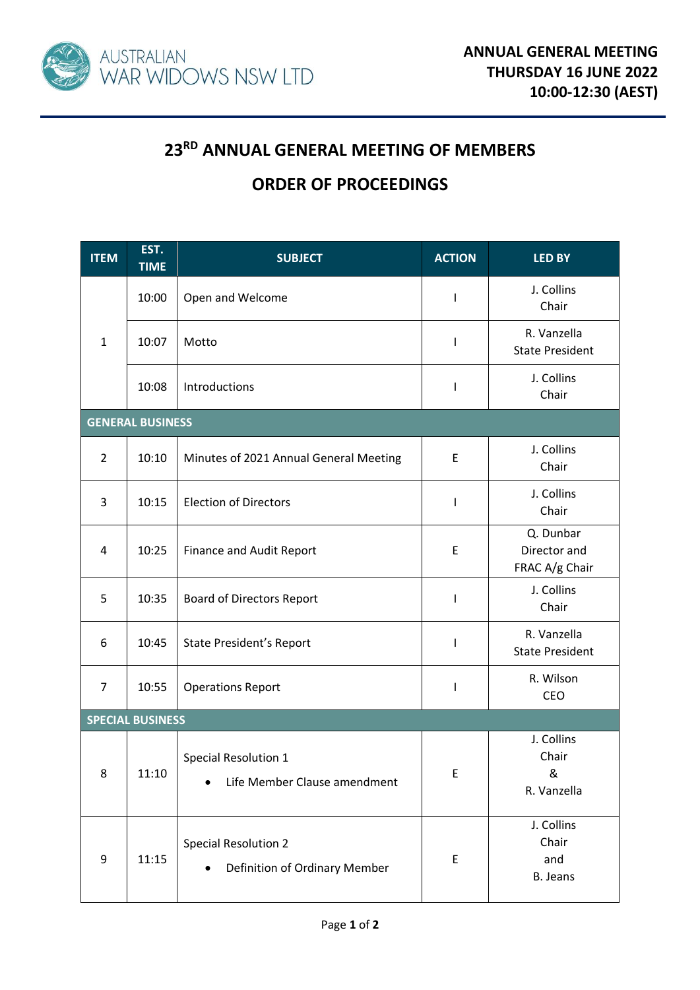

## **23RD ANNUAL GENERAL MEETING OF MEMBERS**

## **ORDER OF PROCEEDINGS**

| <b>ITEM</b>             | EST.<br><b>TIME</b> | <b>SUBJECT</b>                                               | <b>ACTION</b> | <b>LED BY</b>                               |  |  |  |  |
|-------------------------|---------------------|--------------------------------------------------------------|---------------|---------------------------------------------|--|--|--|--|
| $\mathbf{1}$            | 10:00               | Open and Welcome                                             | L             | J. Collins<br>Chair                         |  |  |  |  |
|                         | 10:07               | Motto                                                        | I             | R. Vanzella<br><b>State President</b>       |  |  |  |  |
|                         | 10:08               | Introductions                                                | L             | J. Collins<br>Chair                         |  |  |  |  |
| <b>GENERAL BUSINESS</b> |                     |                                                              |               |                                             |  |  |  |  |
| $\overline{2}$          | 10:10               | Minutes of 2021 Annual General Meeting                       | E             | J. Collins<br>Chair                         |  |  |  |  |
| 3                       | 10:15               | <b>Election of Directors</b>                                 | I             | J. Collins<br>Chair                         |  |  |  |  |
| 4                       | 10:25               | <b>Finance and Audit Report</b>                              | E             | Q. Dunbar<br>Director and<br>FRAC A/g Chair |  |  |  |  |
| 5                       | 10:35               | <b>Board of Directors Report</b>                             | $\mathsf{I}$  | J. Collins<br>Chair                         |  |  |  |  |
| 6                       | 10:45               | <b>State President's Report</b>                              | L             | R. Vanzella<br><b>State President</b>       |  |  |  |  |
| $\overline{7}$          | 10:55               | <b>Operations Report</b>                                     | I             | R. Wilson<br>CEO                            |  |  |  |  |
| <b>SPECIAL BUSINESS</b> |                     |                                                              |               |                                             |  |  |  |  |
| 8                       | 11:10               | Special Resolution 1<br>Life Member Clause amendment         | E             | J. Collins<br>Chair<br>&<br>R. Vanzella     |  |  |  |  |
| 9                       | 11:15               | <b>Special Resolution 2</b><br>Definition of Ordinary Member | E             | J. Collins<br>Chair<br>and<br>B. Jeans      |  |  |  |  |